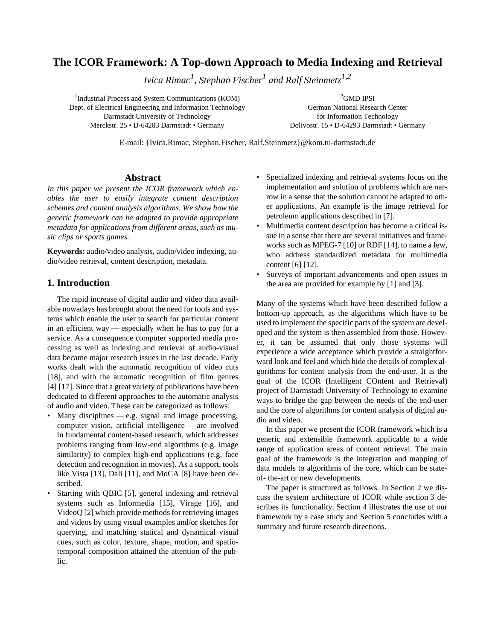# **The ICOR Framework: A Top-down Approach to Media Indexing and Retrieval**

*Ivica Rimac<sup>1</sup> , Stephan Fischer1 and Ralf Steinmetz1,2*

<sup>1</sup>Industrial Process and System Communications (KOM) Dept. of Electrical Engineering and Information Technology Darmstadt University of Technology Merckstr. 25 • D-64283 Darmstadt • Germany

2GMD IPSI German National Research Center for Information Technology Dolivostr. 15 • D-64293 Darmstadt • Germany

E-mail: {Ivica.Rimac, Stephan.Fischer, Ralf.Steinmetz}@kom.tu-darmstadt.de

### **Abstract**

*In this paper we present the ICOR framework which enables the user to easily integrate content description schemes and content analysis algorithms. We show how the generic framework can be adapted to provide appropriate metadata for applications from different areas, such as music clips or sports games.*

**Keywords:** audio/video analysis, audio/video indexing, audio/video retrieval, content description, metadata.

## **1. Introduction**

The rapid increase of digital audio and video data available nowadays has brought about the need for tools and systems which enable the user to search for particular content in an efficient way — especially when he has to pay for a service. As a consequence computer supported media processing as well as indexing and retrieval of audio-visual data became major research issues in the last decade. Early works dealt with the automatic recognition of video cuts [\[18\]](#page-3-0), and with the automatic recognition of film genres [\[4\]](#page-3-0) [\[17\].](#page-3-0) Since that a great variety of publications have been dedicated to different approaches to the automatic analysis of audio and video. These can be categorized as follows:

- Many disciplines  $-e.g.$  signal and image processing, computer vision, artificial intelligence — are involved in fundamental content-based research, which addresses problems ranging from low-end algorithms (e.g. image similarity) to complex high-end applications (e.g. face detection and recognition in movies). As a support, tools like Vista [\[13\],](#page-3-0) Dali [\[11\]](#page-3-0), and MoCA [\[8\]](#page-3-0) have been described.
- Starting with QBIC [\[5\]](#page-3-0), general indexing and retrieval systems such as Informedia [\[15\]](#page-3-0), Virage [\[16\],](#page-3-0) and VideoQ [\[2\]](#page-3-0) which provide methods for retrieving images and videos by using visual examples and/or sketches for querying, and matching statical and dynamical visual cues, such as color, texture, shape, motion, and spatiotemporal composition attained the attention of the public.
- Specialized indexing and retrieval systems focus on the implementation and solution of problems which are narrow in a sense that the solution cannot be adapted to other applications. An example is the image retrieval for petroleum applications described in [\[7\].](#page-3-0)
- Multimedia content description has become a critical issue in a sense that there are several initiatives and frameworks such as MPEG-7 [\[10\]](#page-3-0) or RDF [\[14\],](#page-3-0) to name a few, who address standardized metadata for multimedia content [\[6\] \[12\]](#page-3-0).
- Surveys of important advancements and open issues in the area are provided for example by [\[1\]](#page-3-0) and [\[3\].](#page-3-0)

Many of the systems which have been described follow a bottom-up approach, as the algorithms which have to be used to implement the specific parts of the system are developed and the system is then assembled from those. However, it can be assumed that only those systems will experience a wide acceptance which provide a straightforward look and feel and which hide the details of complex algorithms for content analysis from the end-user. It is the goal of the ICOR (Intelligent COntent and Retrieval) project of Darmstadt University of Technology to examine ways to bridge the gap between the needs of the end-user and the core of algorithms for content analysis of digital audio and video.

In this paper we present the ICOR framework which is a generic and extensible framework applicable to a wide range of application areas of content retrieval. The main goal of the framework is the integration and mapping of data models to algorithms of the core, which can be stateof- the-art or new developments.

The paper is structured as follows. In [Section 2](#page-1-0) we discuss the system architecture of ICOR while section 3 describes its functionality. [Section 4](#page-2-0) illustrates the use of our framework by a case study and [Section 5](#page-3-0) concludes with a summary and future research directions.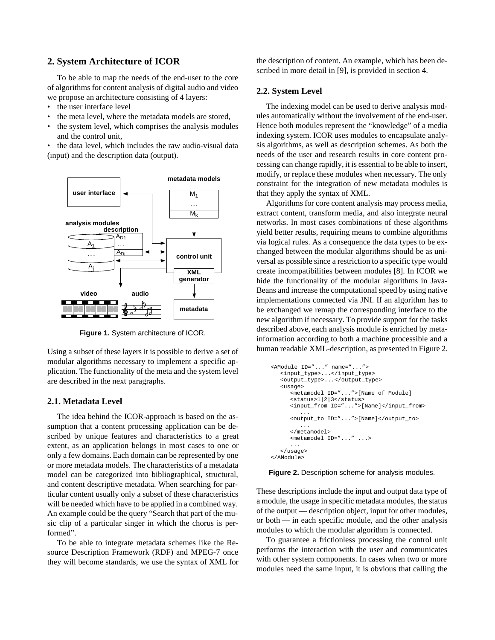### <span id="page-1-0"></span>**2. System Architecture of ICOR**

To be able to map the needs of the end-user to the core of algorithms for content analysis of digital audio and video we propose an architecture consisting of 4 layers:

- the user interface level
- the meta level, where the metadata models are stored,
- the system level, which comprises the analysis modules and the control unit,

the data level, which includes the raw audio-visual data (input) and the description data (output).



**Figure 1.** System architecture of ICOR.

Using a subset of these layers it is possible to derive a set of modular algorithms necessary to implement a specific application. The functionality of the meta and the system level are described in the next paragraphs.

### **2.1. Metadata Level**

The idea behind the ICOR-approach is based on the assumption that a content processing application can be described by unique features and characteristics to a great extent, as an application belongs in most cases to one or only a few domains. Each domain can be represented by one or more metadata models. The characteristics of a metadata model can be categorized into bibliographical, structural, and content descriptive metadata. When searching for particular content usually only a subset of these characteristics will be needed which have to be applied in a combined way. An example could be the query "Search that part of the music clip of a particular singer in which the chorus is performed".

To be able to integrate metadata schemes like the Resource Description Framework (RDF) and MPEG-7 once they will become standards, we use the syntax of XML for the description of content. An example, which has been described in more detail in [9], is provided in section 4.

#### **2.2. System Level**

The indexing model can be used to derive analysis modules automatically without the involvement of the end-user. Hence both modules represent the "knowledge" of a media indexing system. ICOR uses modules to encapsulate analysis algorithms, as well as description schemes. As both the needs of the user and research results in core content processing can change rapidly, it is essential to be able to insert, modify, or replace these modules when necessary. The only constraint for the integration of new metadata modules is that they apply the syntax of XML.

Algorithms for core content analysis may process media, extract content, transform media, and also integrate neural networks. In most cases combinations of these algorithms yield better results, requiring means to combine algorithms via logical rules. As a consequence the data types to be exchanged between the modular algorithms should be as universal as possible since a restriction to a specific type would create incompatibilities between modules [\[8\]](#page-3-0). In ICOR we hide the functionality of the modular algorithms in Java-Beans and increase the computational speed by using native implementations connected via JNI. If an algorithm has to be exchanged we remap the corresponding interface to the new algorithm if necessary. To provide support for the tasks described above, each analysis module is enriched by metainformation according to both a machine processible and a human readable XML-description, as presented in Figure 2.

```
<AModule ID="..." name="...">
  <input_type>...</input_type>
  <output_type>...</output_type>
  <usage>
      <metamodel ID="...">[Name of Module]
      <status>1|2|3</status>
      <input_from ID="...">[Name]</input_from>
         ...
      <output_to ID="...">[Name]</output_to>
         ...
      </metamodel>
      <metamodel ID="..." ...>
      ...
  </usage>
</AModule>
```
**Figure 2.** Description scheme for analysis modules.

These descriptions include the input and output data type of a module, the usage in specific metadata modules, the status of the output — description object, input for other modules, or both — in each specific module, and the other analysis modules to which the modular algorithm is connected.

To guarantee a frictionless processing the control unit performs the interaction with the user and communicates with other system components. In cases when two or more modules need the same input, it is obvious that calling the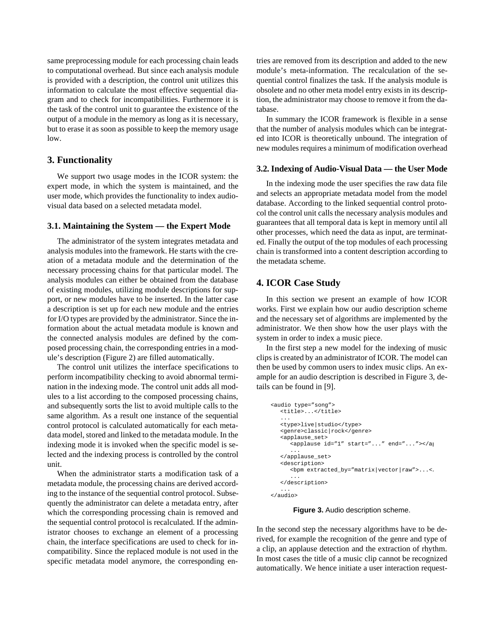<span id="page-2-0"></span>same preprocessing module for each processing chain leads to computational overhead. But since each analysis module is provided with a description, the control unit utilizes this information to calculate the most effective sequential diagram and to check for incompatibilities. Furthermore it is the task of the control unit to guarantee the existence of the output of a module in the memory as long as it is necessary, but to erase it as soon as possible to keep the memory usage low.

### **3. Functionality**

We support two usage modes in the ICOR system: the expert mode, in which the system is maintained, and the user mode, which provides the functionality to index audiovisual data based on a selected metadata model.

#### **3.1. Maintaining the System — the Expert Mode**

The administrator of the system integrates metadata and analysis modules into the framework. He starts with the creation of a metadata module and the determination of the necessary processing chains for that particular model. The analysis modules can either be obtained from the database of existing modules, utilizing module descriptions for support, or new modules have to be inserted. In the latter case a description is set up for each new module and the entries for I/O types are provided by the administrator. Since the information about the actual metadata module is known and the connected analysis modules are defined by the composed processing chain, the corresponding entries in a module's description ([Figure 2](#page-1-0)) are filled automatically.

The control unit utilizes the interface specifications to perform incompatibility checking to avoid abnormal termination in the indexing mode. The control unit adds all modules to a list according to the composed processing chains, and subsequently sorts the list to avoid multiple calls to the same algorithm. As a result one instance of the sequential control protocol is calculated automatically for each metadata model, stored and linked to the metadata module. In the indexing mode it is invoked when the specific model is selected and the indexing process is controlled by the control unit.

When the administrator starts a modification task of a metadata module, the processing chains are derived according to the instance of the sequential control protocol. Subsequently the administrator can delete a metadata entry, after which the corresponding processing chain is removed and the sequential control protocol is recalculated. If the administrator chooses to exchange an element of a processing chain, the interface specifications are used to check for incompatibility. Since the replaced module is not used in the specific metadata model anymore, the corresponding entries are removed from its description and added to the new module's meta-information. The recalculation of the sequential control finalizes the task. If the analysis module is obsolete and no other meta model entry exists in its description, the administrator may choose to remove it from the database.

In summary the ICOR framework is flexible in a sense that the number of analysis modules which can be integrated into ICOR is theoretically unbound. The integration of new modules requires a minimum of modification overhead

#### **3.2. Indexing of Audio-Visual Data — the User Mode**

In the indexing mode the user specifies the raw data file and selects an appropriate metadata model from the model database. According to the linked sequential control protocol the control unit calls the necessary analysis modules and guarantees that all temporal data is kept in memory until all other processes, which need the data as input, are terminated. Finally the output of the top modules of each processing chain is transformed into a content description according to the metadata scheme.

### **4. ICOR Case Study**

In this section we present an example of how ICOR works. First we explain how our audio description scheme and the necessary set of algorithms are implemented by the administrator. We then show how the user plays with the system in order to index a music piece.

In the first step a new model for the indexing of music clips is created by an administrator of ICOR. The model can then be used by common users to index music clips. An example for an audio description is described in Figure 3, details can be found in [\[9\]](#page-3-0).

```
<audio type="song">
   <title>...</title>
   ...
   <type>live|studio</type>
   <genre>classic|rock</genre>
   <applause_set>
      <applause id="1" start="..." end="..."></ap
      ...
   </applause_set>
   <description>
      <bpm extracted_by="matrix|vector|raw">...</
      ...
   </description>
   ...
</audio>
```
**Figure 3.** Audio description scheme.

In the second step the necessary algorithms have to be derived, for example the recognition of the genre and type of a clip, an applause detection and the extraction of rhythm. In most cases the title of a music clip cannot be recognized automatically. We hence initiate a user interaction request